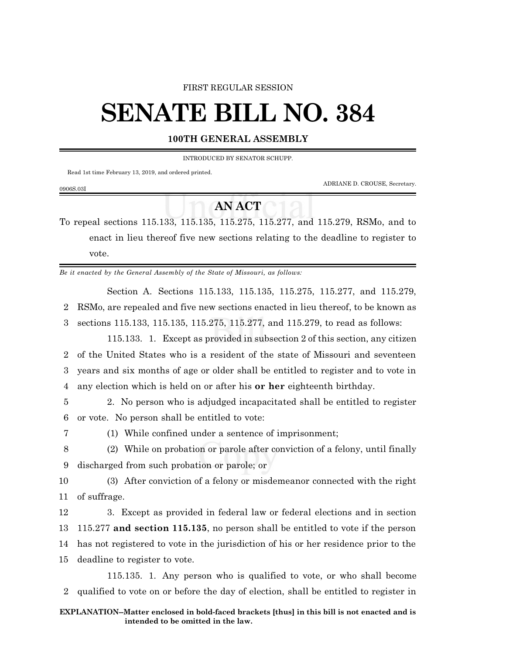## FIRST REGULAR SESSION

## **SENATE BILL NO. 384**

## **100TH GENERAL ASSEMBLY**

INTRODUCED BY SENATOR SCHUPP.

Read 1st time February 13, 2019, and ordered printed.

ADRIANE D. CROUSE, Secretary.

## **AN ACT**

To repeal sections 115.133, 115.135, 115.275, 115.277, and 115.279, RSMo, and to enact in lieu thereof five new sections relating to the deadline to register to vote.

*Be it enacted by the General Assembly of the State of Missouri, as follows:*

Section A. Sections 115.133, 115.135, 115.275, 115.277, and 115.279, 2 RSMo, are repealed and five new sections enacted in lieu thereof, to be known as

3 sections 115.133, 115.135, 115.275, 115.277, and 115.279, to read as follows:

115.133. 1. Except as provided in subsection 2 of this section, any citizen of the United States who is a resident of the state of Missouri and seventeen years and six months of age or older shall be entitled to register and to vote in any election which is held on or after his **or her** eighteenth birthday.

5 2. No person who is adjudged incapacitated shall be entitled to register 6 or vote. No person shall be entitled to vote:

0906S.03I

7 (1) While confined under a sentence of imprisonment;

8 (2) While on probation or parole after conviction of a felony, until finally 9 discharged from such probation or parole; or

10 (3) After conviction of a felony or misdemeanor connected with the right 11 of suffrage.

 3. Except as provided in federal law or federal elections and in section 115.277 **and section 115.135**, no person shall be entitled to vote if the person has not registered to vote in the jurisdiction of his or her residence prior to the deadline to register to vote.

115.135. 1. Any person who is qualified to vote, or who shall become 2 qualified to vote on or before the day of election, shall be entitled to register in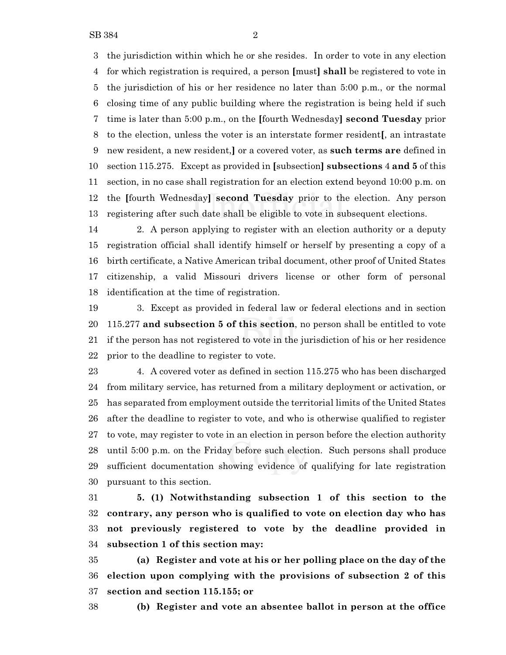the jurisdiction within which he or she resides. In order to vote in any election for which registration is required, a person **[**must**] shall** be registered to vote in the jurisdiction of his or her residence no later than 5:00 p.m., or the normal closing time of any public building where the registration is being held if such time is later than 5:00 p.m., on the **[**fourth Wednesday**] second Tuesday** prior to the election, unless the voter is an interstate former resident**[**, an intrastate new resident, a new resident,**]** or a covered voter, as **such terms are** defined in section 115.275. Except as provided in **[**subsection**] subsections** 4 **and 5** of this section, in no case shall registration for an election extend beyond 10:00 p.m. on the **[**fourth Wednesday**] second Tuesday** prior to the election. Any person registering after such date shall be eligible to vote in subsequent elections.

 2. A person applying to register with an election authority or a deputy registration official shall identify himself or herself by presenting a copy of a birth certificate, a Native American tribal document, other proof of United States citizenship, a valid Missouri drivers license or other form of personal identification at the time of registration.

 3. Except as provided in federal law or federal elections and in section 115.277 **and subsection 5 of this section**, no person shall be entitled to vote if the person has not registered to vote in the jurisdiction of his or her residence prior to the deadline to register to vote.

 4. A covered voter as defined in section 115.275 who has been discharged from military service, has returned from a military deployment or activation, or has separated from employment outside the territorial limits of the United States after the deadline to register to vote, and who is otherwise qualified to register to vote, may register to vote in an election in person before the election authority until 5:00 p.m. on the Friday before such election. Such persons shall produce sufficient documentation showing evidence of qualifying for late registration pursuant to this section.

 **5. (1) Notwithstanding subsection 1 of this section to the contrary, any person who is qualified to vote on election day who has not previously registered to vote by the deadline provided in subsection 1 of this section may:**

 **(a) Register and vote at his or her polling place on the day of the election upon complying with the provisions of subsection 2 of this section and section 115.155; or**

**(b) Register and vote an absentee ballot in person at the office**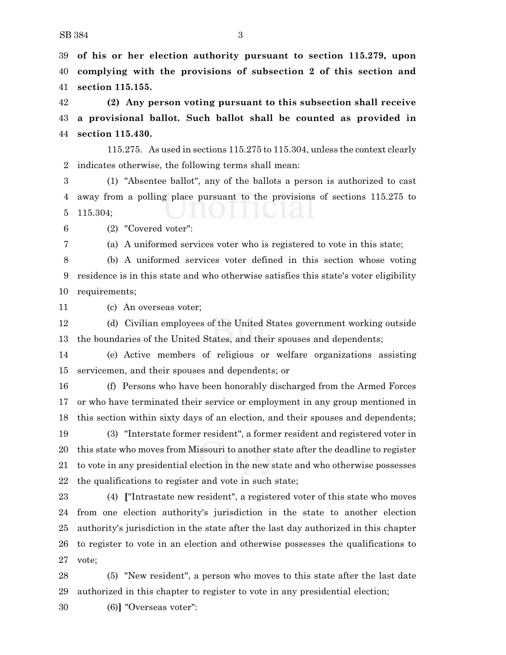**of his or her election authority pursuant to section 115.279, upon complying with the provisions of subsection 2 of this section and section 115.155.**

 **(2) Any person voting pursuant to this subsection shall receive a provisional ballot. Such ballot shall be counted as provided in section 115.430.**

115.275. As used in sections 115.275 to 115.304, unless the context clearly indicates otherwise, the following terms shall mean:

 (1) "Absentee ballot", any of the ballots a person is authorized to cast away from a polling place pursuant to the provisions of sections 115.275 to 115.304;

(2) "Covered voter":

(a) A uniformed services voter who is registered to vote in this state;

 (b) A uniformed services voter defined in this section whose voting residence is in this state and who otherwise satisfies this state's voter eligibility requirements;

(c) An overseas voter;

 (d) Civilian employees of the United States government working outside the boundaries of the United States, and their spouses and dependents;

 (e) Active members of religious or welfare organizations assisting servicemen, and their spouses and dependents; or

 (f) Persons who have been honorably discharged from the Armed Forces or who have terminated their service or employment in any group mentioned in this section within sixty days of an election, and their spouses and dependents;

 (3) "Interstate former resident", a former resident and registered voter in this state who moves from Missouri to another state after the deadline to register to vote in any presidential election in the new state and who otherwise possesses the qualifications to register and vote in such state;

 (4) **[**"Intrastate new resident", a registered voter of this state who moves from one election authority's jurisdiction in the state to another election authority's jurisdiction in the state after the last day authorized in this chapter to register to vote in an election and otherwise possesses the qualifications to vote;

 (5) "New resident", a person who moves to this state after the last date authorized in this chapter to register to vote in any presidential election;

(6)**]** "Overseas voter":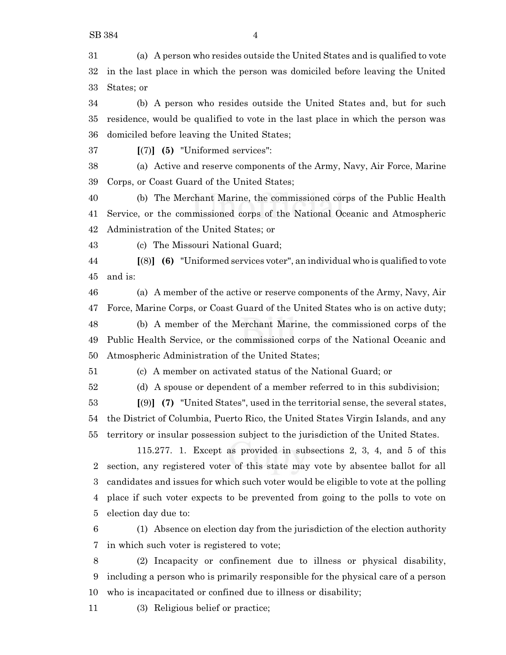(a) A person who resides outside the United States and is qualified to vote in the last place in which the person was domiciled before leaving the United States; or

 (b) A person who resides outside the United States and, but for such residence, would be qualified to vote in the last place in which the person was domiciled before leaving the United States;

**[**(7)**] (5)** "Uniformed services":

 (a) Active and reserve components of the Army, Navy, Air Force, Marine Corps, or Coast Guard of the United States;

 (b) The Merchant Marine, the commissioned corps of the Public Health Service, or the commissioned corps of the National Oceanic and Atmospheric Administration of the United States; or

(c) The Missouri National Guard;

 **[**(8)**] (6)** "Uniformed services voter", an individual who is qualified to vote and is:

 (a) A member of the active or reserve components of the Army, Navy, Air Force, Marine Corps, or Coast Guard of the United States who is on active duty; (b) A member of the Merchant Marine, the commissioned corps of the Public Health Service, or the commissioned corps of the National Oceanic and Atmospheric Administration of the United States;

(c) A member on activated status of the National Guard; or

(d) A spouse or dependent of a member referred to in this subdivision;

 **[**(9)**] (7)** "United States", used in the territorial sense, the several states, the District of Columbia, Puerto Rico, the United States Virgin Islands, and any territory or insular possession subject to the jurisdiction of the United States.

115.277. 1. Except as provided in subsections 2, 3, 4, and 5 of this section, any registered voter of this state may vote by absentee ballot for all candidates and issues for which such voter would be eligible to vote at the polling place if such voter expects to be prevented from going to the polls to vote on election day due to:

 (1) Absence on election day from the jurisdiction of the election authority in which such voter is registered to vote;

 (2) Incapacity or confinement due to illness or physical disability, including a person who is primarily responsible for the physical care of a person who is incapacitated or confined due to illness or disability;

(3) Religious belief or practice;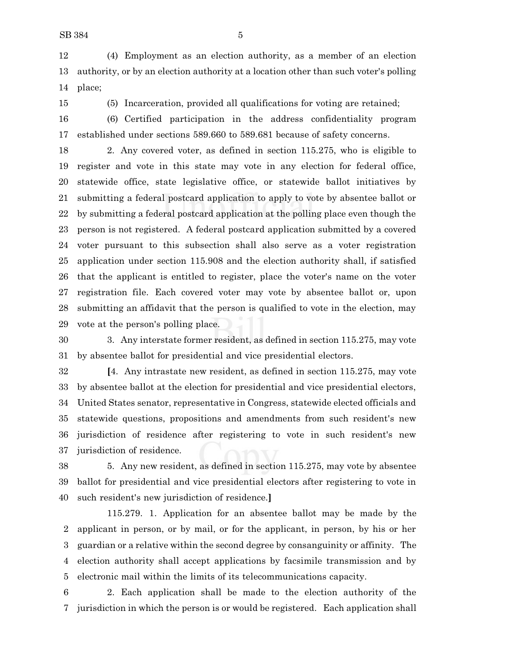(4) Employment as an election authority, as a member of an election authority, or by an election authority at a location other than such voter's polling place;

(5) Incarceration, provided all qualifications for voting are retained;

 (6) Certified participation in the address confidentiality program established under sections 589.660 to 589.681 because of safety concerns.

 2. Any covered voter, as defined in section 115.275, who is eligible to register and vote in this state may vote in any election for federal office, statewide office, state legislative office, or statewide ballot initiatives by submitting a federal postcard application to apply to vote by absentee ballot or by submitting a federal postcard application at the polling place even though the person is not registered. A federal postcard application submitted by a covered voter pursuant to this subsection shall also serve as a voter registration application under section 115.908 and the election authority shall, if satisfied that the applicant is entitled to register, place the voter's name on the voter registration file. Each covered voter may vote by absentee ballot or, upon submitting an affidavit that the person is qualified to vote in the election, may vote at the person's polling place.

 3. Any interstate former resident, as defined in section 115.275, may vote by absentee ballot for presidential and vice presidential electors.

 **[**4. Any intrastate new resident, as defined in section 115.275, may vote by absentee ballot at the election for presidential and vice presidential electors, United States senator, representative in Congress, statewide elected officials and statewide questions, propositions and amendments from such resident's new jurisdiction of residence after registering to vote in such resident's new jurisdiction of residence.

 5. Any new resident, as defined in section 115.275, may vote by absentee ballot for presidential and vice presidential electors after registering to vote in such resident's new jurisdiction of residence.**]**

115.279. 1. Application for an absentee ballot may be made by the applicant in person, or by mail, or for the applicant, in person, by his or her guardian or a relative within the second degree by consanguinity or affinity. The election authority shall accept applications by facsimile transmission and by electronic mail within the limits of its telecommunications capacity.

 2. Each application shall be made to the election authority of the jurisdiction in which the person is or would be registered. Each application shall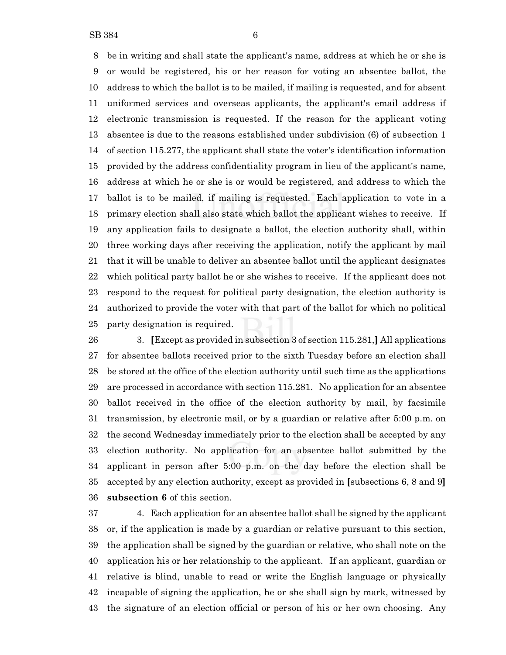be in writing and shall state the applicant's name, address at which he or she is

 or would be registered, his or her reason for voting an absentee ballot, the address to which the ballot is to be mailed, if mailing is requested, and for absent uniformed services and overseas applicants, the applicant's email address if electronic transmission is requested. If the reason for the applicant voting absentee is due to the reasons established under subdivision (6) of subsection 1 of section 115.277, the applicant shall state the voter's identification information provided by the address confidentiality program in lieu of the applicant's name, address at which he or she is or would be registered, and address to which the ballot is to be mailed, if mailing is requested. Each application to vote in a primary election shall also state which ballot the applicant wishes to receive. If any application fails to designate a ballot, the election authority shall, within three working days after receiving the application, notify the applicant by mail that it will be unable to deliver an absentee ballot until the applicant designates which political party ballot he or she wishes to receive. If the applicant does not respond to the request for political party designation, the election authority is authorized to provide the voter with that part of the ballot for which no political party designation is required.

 3. **[**Except as provided in subsection 3 of section 115.281,**]** All applications for absentee ballots received prior to the sixth Tuesday before an election shall be stored at the office of the election authority until such time as the applications are processed in accordance with section 115.281. No application for an absentee ballot received in the office of the election authority by mail, by facsimile transmission, by electronic mail, or by a guardian or relative after 5:00 p.m. on the second Wednesday immediately prior to the election shall be accepted by any election authority. No application for an absentee ballot submitted by the applicant in person after 5:00 p.m. on the day before the election shall be accepted by any election authority, except as provided in **[**subsections 6, 8 and 9**] subsection 6** of this section.

 4. Each application for an absentee ballot shall be signed by the applicant or, if the application is made by a guardian or relative pursuant to this section, the application shall be signed by the guardian or relative, who shall note on the application his or her relationship to the applicant. If an applicant, guardian or relative is blind, unable to read or write the English language or physically incapable of signing the application, he or she shall sign by mark, witnessed by the signature of an election official or person of his or her own choosing. Any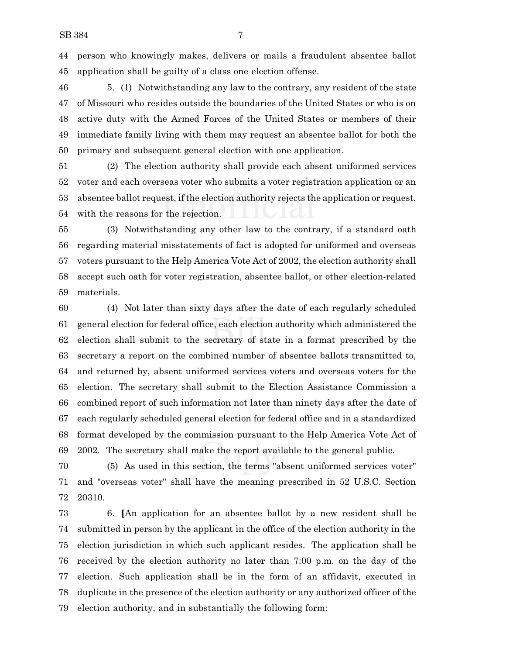person who knowingly makes, delivers or mails a fraudulent absentee ballot application shall be guilty of a class one election offense.

 5. (1) Notwithstanding any law to the contrary, any resident of the state of Missouri who resides outside the boundaries of the United States or who is on active duty with the Armed Forces of the United States or members of their immediate family living with them may request an absentee ballot for both the primary and subsequent general election with one application.

 (2) The election authority shall provide each absent uniformed services voter and each overseas voter who submits a voter registration application or an absentee ballot request, if the election authority rejects the application or request, with the reasons for the rejection.

 (3) Notwithstanding any other law to the contrary, if a standard oath regarding material misstatements of fact is adopted for uniformed and overseas voters pursuant to the Help America Vote Act of 2002, the election authority shall accept such oath for voter registration, absentee ballot, or other election-related materials.

 (4) Not later than sixty days after the date of each regularly scheduled general election for federal office, each election authority which administered the election shall submit to the secretary of state in a format prescribed by the secretary a report on the combined number of absentee ballots transmitted to, and returned by, absent uniformed services voters and overseas voters for the election. The secretary shall submit to the Election Assistance Commission a combined report of such information not later than ninety days after the date of each regularly scheduled general election for federal office and in a standardized format developed by the commission pursuant to the Help America Vote Act of 2002. The secretary shall make the report available to the general public.

 (5) As used in this section, the terms "absent uniformed services voter" and "overseas voter" shall have the meaning prescribed in 52 U.S.C. Section 20310.

 6. **[**An application for an absentee ballot by a new resident shall be submitted in person by the applicant in the office of the election authority in the election jurisdiction in which such applicant resides. The application shall be received by the election authority no later than 7:00 p.m. on the day of the election. Such application shall be in the form of an affidavit, executed in duplicate in the presence of the election authority or any authorized officer of the election authority, and in substantially the following form: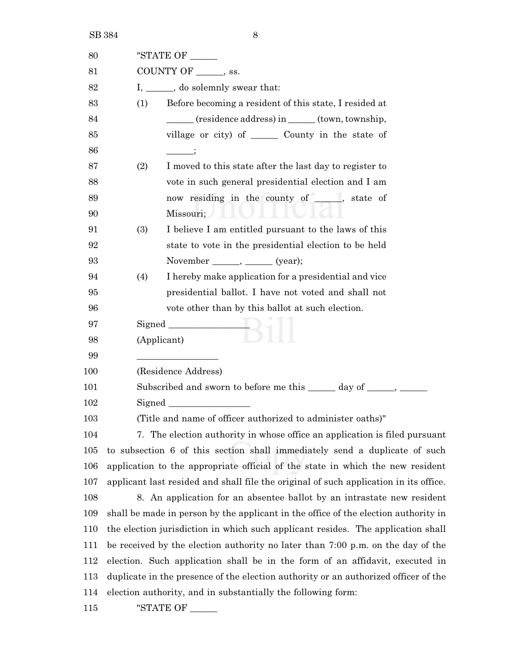| 80  | "STATE OF $\_\_\_\_\_\_\_\_\_\$                                                       |                                                                            |  |
|-----|---------------------------------------------------------------------------------------|----------------------------------------------------------------------------|--|
| 81  | COUNTY OF ______, ss.                                                                 |                                                                            |  |
| 82  |                                                                                       | I, ______, do solemnly swear that:                                         |  |
| 83  | (1)                                                                                   | Before becoming a resident of this state, I resided at                     |  |
| 84  |                                                                                       | (residence address) in ______ (town, township,                             |  |
| 85  |                                                                                       | village or city) of ________ County in the state of                        |  |
| 86  |                                                                                       | $\overline{\phantom{a}}$ ;                                                 |  |
| 87  | (2)                                                                                   | I moved to this state after the last day to register to                    |  |
| 88  |                                                                                       | vote in such general presidential election and I am                        |  |
| 89  |                                                                                       | now residing in the county of _____, state of                              |  |
| 90  |                                                                                       | Missouri;                                                                  |  |
| 91  | (3)                                                                                   | I believe I am entitled pursuant to the laws of this                       |  |
| 92  |                                                                                       | state to vote in the presidential election to be held                      |  |
| 93  |                                                                                       | November _______, ______ (year);                                           |  |
| 94  | (4)                                                                                   | I hereby make application for a presidential and vice                      |  |
| 95  |                                                                                       | presidential ballot. I have not voted and shall not                        |  |
| 96  |                                                                                       | vote other than by this ballot at such election.                           |  |
| 97  |                                                                                       |                                                                            |  |
| 98  | (Applicant)                                                                           |                                                                            |  |
| 99  |                                                                                       |                                                                            |  |
| 100 | (Residence Address)                                                                   |                                                                            |  |
| 101 | Subscribed and sworn to before me this ______ day of _____, _____                     |                                                                            |  |
| 102 |                                                                                       |                                                                            |  |
| 103 | (Title and name of officer authorized to administer oaths)"                           |                                                                            |  |
| 104 |                                                                                       | 7. The election authority in whose office an application is filed pursuant |  |
| 105 | to subsection 6 of this section shall immediately send a duplicate of such            |                                                                            |  |
| 106 | application to the appropriate official of the state in which the new resident        |                                                                            |  |
| 107 | applicant last resided and shall file the original of such application in its office. |                                                                            |  |
| 108 |                                                                                       | 8. An application for an absentee ballot by an intrastate new resident     |  |
| 109 | shall be made in person by the applicant in the office of the election authority in   |                                                                            |  |
| 110 | the election jurisdiction in which such applicant resides. The application shall      |                                                                            |  |
| 111 | be received by the election authority no later than 7:00 p.m. on the day of the       |                                                                            |  |
| 112 | election. Such application shall be in the form of an affidavit, executed in          |                                                                            |  |
| 113 | duplicate in the presence of the election authority or an authorized officer of the   |                                                                            |  |
| 114 | election authority, and in substantially the following form:                          |                                                                            |  |
| 115 |                                                                                       | "STATE OF $\_\_\_\_\_\_\_\_\$                                              |  |